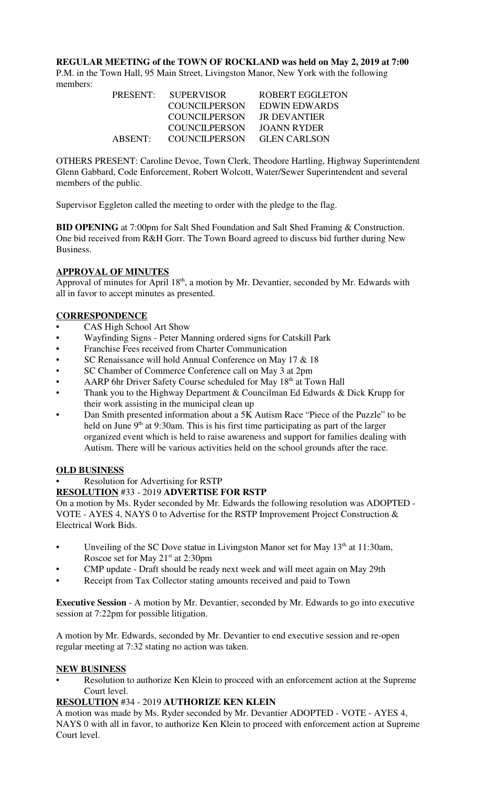**REGULAR MEETING of the TOWN OF ROCKLAND was held on May 2, 2019 at 7:00** P.M. in the Town Hall, 95 Main Street, Livingston Manor, New York with the following members:

| <b>PRESENT:</b> | <b>SUPERVISOR</b>    | ROBERT EGGLETON     |
|-----------------|----------------------|---------------------|
|                 | COUNCILPERSON        | EDWIN EDWARDS       |
|                 | <b>COUNCILPERSON</b> | JR DEVANTIER        |
|                 | COUNCIL PERSON       | JOANN RYDER         |
| ABSENT:         | <b>COUNCILPERSON</b> | <b>GLEN CARLSON</b> |

OTHERS PRESENT: Caroline Devoe, Town Clerk, Theodore Hartling, Highway Superintendent Glenn Gabbard, Code Enforcement, Robert Wolcott, Water/Sewer Superintendent and several members of the public.

Supervisor Eggleton called the meeting to order with the pledge to the flag.

**BID OPENING** at 7:00pm for Salt Shed Foundation and Salt Shed Framing & Construction. One bid received from R&H Gorr. The Town Board agreed to discuss bid further during New Business.

# **APPROVAL OF MINUTES**

Approval of minutes for April  $18<sup>th</sup>$ , a motion by Mr. Devantier, seconded by Mr. Edwards with all in favor to accept minutes as presented.

# **CORRESPONDENCE**

- CAS High School Art Show
- Wayfinding Signs Peter Manning ordered signs for Catskill Park
- Franchise Fees received from Charter Communication
- SC Renaissance will hold Annual Conference on May 17 & 18
- SC Chamber of Commerce Conference call on May 3 at 2pm
- AARP 6hr Driver Safety Course scheduled for May 18<sup>th</sup> at Town Hall
- Thank you to the Highway Department  $&$  Councilman Ed Edwards  $&$  Dick Krupp for their work assisting in the municipal clean up
- Dan Smith presented information about a 5K Autism Race "Piece of the Puzzle" to be held on June  $9<sup>th</sup>$  at 9:30am. This is his first time participating as part of the larger organized event which is held to raise awareness and support for families dealing with Autism. There will be various activities held on the school grounds after the race.

#### **OLD BUSINESS**

• Resolution for Advertising for RSTP

# **RESOLUTION** #33 - 2019 **ADVERTISE FOR RSTP**

On a motion by Ms. Ryder seconded by Mr. Edwards the following resolution was ADOPTED - VOTE - AYES 4, NAYS 0 to Advertise for the RSTP Improvement Project Construction & Electrical Work Bids.

- Unveiling of the SC Dove statue in Livingston Manor set for May  $13<sup>th</sup>$  at 11:30am, Roscoe set for May  $21<sup>st</sup>$  at 2:30pm
- CMP update Draft should be ready next week and will meet again on May 29th
- Receipt from Tax Collector stating amounts received and paid to Town

**Executive Session** - A motion by Mr. Devantier, seconded by Mr. Edwards to go into executive session at 7:22pm for possible litigation.

A motion by Mr. Edwards, seconded by Mr. Devantier to end executive session and re-open regular meeting at 7:32 stating no action was taken.

#### **NEW BUSINESS**

Resolution to authorize Ken Klein to proceed with an enforcement action at the Supreme Court level.

## **RESOLUTION** #34 - 2019 **AUTHORIZE KEN KLEIN**

A motion was made by Ms. Ryder seconded by Mr. Devantier ADOPTED - VOTE - AYES 4, NAYS 0 with all in favor, to authorize Ken Klein to proceed with enforcement action at Supreme Court level.